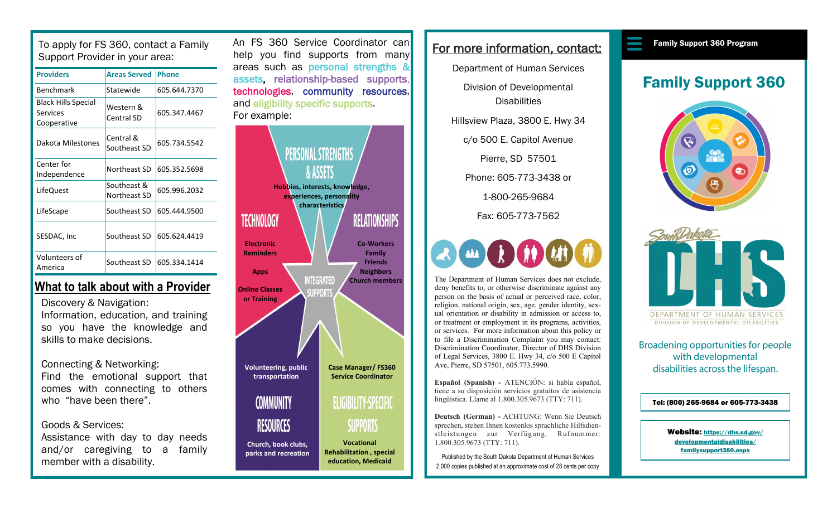To apply for FS 360, contact a Family Support Provider in your area:

| <b>Providers</b>                                      | <b>Areas Served</b>         | <b>Phone</b> |
|-------------------------------------------------------|-----------------------------|--------------|
| Benchmark                                             | Statewide                   | 605.644.7370 |
| <b>Black Hills Special</b><br>Services<br>Cooperative | Western &<br>Central SD     | 605.347.4467 |
| Dakota Milestones                                     | Central &<br>Southeast SD   | 605.734.5542 |
| Center for<br>Independence                            | Northeast SD                | 605.352.5698 |
| LifeQuest                                             | Southeast &<br>Northeast SD | 605.996.2032 |
| LifeScape                                             | Southeast SD                | 605.444.9500 |
| SESDAC, Inc                                           | Southeast SD                | 605.624.4419 |
| Volunteers of<br>America                              | Southeast SD                | 605.334.1414 |

## **What to talk about with a Provider**

Discovery & Navigation: Information, education, and training so you have the knowledge and skills to make decisions.

Connecting & Networking: Find the emotional support that comes with connecting to others who "have been there".

### Goods & Services:

Assistance with day to day needs and/or caregiving to a family member with a disability.

An FS 360 Service Coordinator can help you find supports from many areas such as personal strengths & assets, relationship-based supports, technologies, community resources, and eligibility specific supports. For example:



## For more information, contact:

Department of Human Services

Division of Developmental **Disabilities** 

Hillsview Plaza, 3800 E. Hwy 34

c/o 500 E. Capitol Avenue

Pierre, SD 57501

Phone: 605-773-3438 or

1-800-265-9684

Fax: 605-773-7562



The Department of Human Services does not exclude, deny benefits to, or otherwise discriminate against any person on the basis of actual or perceived race, color, religion, national origin, sex, age, gender identity, sexual orientation or disability in admission or access to, or treatment or employment in its programs, activities, or services. For more information about this policy or to file a Discrimination Complaint you may contact: Discrimination Coordinator, Director of DHS Division of Legal Services, 3800 E. Hwy 34, c/o 500 E Capitol Ave, Pierre, SD 57501, 605.773.5990.

**Español (Spanish) -** ATENCIÓN: si habla español, tiene a su disposición servicios gratuitos de asistencia lingüística. Llame al 1.800.305.9673 (TTY: 711).

**Deutsch (German) -** ACHTUNG: Wenn Sie Deutsch sprechen, stehen Ihnen kostenlos sprachliche Hilfsdienstleistungen zur Verfügung. Rufnummer: 1.800.305.9673 (TTY: 711).

Published by the South Dakota Department of Human Services 2,000 copies published at an approximate cost of 28 cents per copy

#### Family Support 360 Program

# Family Support 360





DIVISION OF DEVELOPMENTAL DISABILITIES

Broadening opportunities for people with developmental disabilities across the lifespan.

#### Tel: (800) 265-9684 or 605-773-3438

Website: [https://dhs.sd.gov/](https://dhs.sd.gov/developmentaldisabilities/familysupport360.aspx) [developmentaldisabilities/](https://dhs.sd.gov/developmentaldisabilities/familysupport360.aspx) [familysupport360.aspx](https://dhs.sd.gov/developmentaldisabilities/familysupport360.aspx)